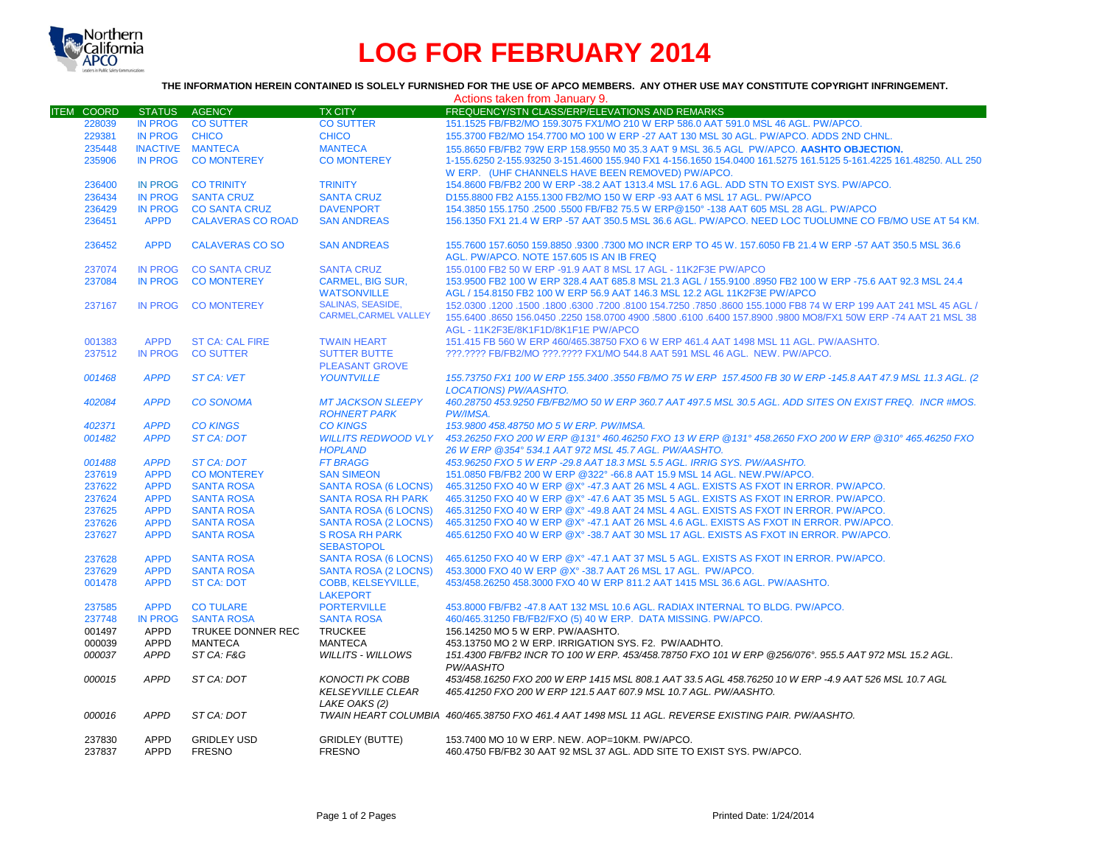

## **LOG FOR FEBRUARY 2014**

## **THE INFORMATION HEREIN CONTAINED IS SOLELY FURNISHED FOR THE USE OF APCO MEMBERS. ANY OTHER USE MAY CONSTITUTE COPYRIGHT INFRINGEMENT.**

|                   |                |                          |                              | Actions taken from January 9.                                                                                     |
|-------------------|----------------|--------------------------|------------------------------|-------------------------------------------------------------------------------------------------------------------|
| <b>ITEM COORD</b> | <b>STATUS</b>  | <b>AGENCY</b>            | <b>TX CITY</b>               | FREQUENCY/STN CLASS/ERP/ELEVATIONS AND REMARKS                                                                    |
| 228039            | <b>IN PROG</b> | <b>CO SUTTER</b>         | <b>CO SUTTER</b>             | 151.1525 FB/FB2/MO 159.3075 FX1/MO 210 W ERP 586.0 AAT 591.0 MSL 46 AGL. PW/APCO.                                 |
| 229381            | <b>IN PROG</b> | <b>CHICO</b>             | <b>CHICO</b>                 | 155,3700 FB2/MO 154,7700 MO 100 W ERP -27 AAT 130 MSL 30 AGL. PW/APCO, ADDS 2ND CHNL.                             |
| 235448            |                | INACTIVE MANTECA         | <b>MANTECA</b>               | 155.8650 FB/FB2 79W ERP 158.9550 M0 35.3 AAT 9 MSL 36.5 AGL PW/APCO. AASHTO OBJECTION.                            |
| 235906            | <b>IN PROG</b> | <b>CO MONTEREY</b>       | <b>CO MONTEREY</b>           | 1-155.6250 2-155.93250 3-151.4600 155.940 FX1 4-156.1650 154.0400 161.5275 161.5125 5-161.4225 161.48250. ALL 250 |
|                   |                |                          |                              | W ERP. (UHF CHANNELS HAVE BEEN REMOVED) PW/APCO.                                                                  |
| 236400            | IN PROG        | <b>CO TRINITY</b>        | <b>TRINITY</b>               | 154,8600 FB/FB2 200 W ERP -38.2 AAT 1313.4 MSL 17.6 AGL, ADD STN TO EXIST SYS, PW/APCO,                           |
| 236434            | <b>IN PROG</b> | <b>SANTA CRUZ</b>        | <b>SANTA CRUZ</b>            | D155,8800 FB2 A155,1300 FB2/MO 150 W ERP -93 AAT 6 MSL 17 AGL, PW/APCO                                            |
| 236429            | <b>IN PROG</b> | <b>CO SANTA CRUZ</b>     | <b>DAVENPORT</b>             | 154.3850 155.1750 .2500 .5500 FB/FB2 75.5 W ERP@150° -138 AAT 605 MSL 28 AGL. PW/APCO                             |
| 236451            | <b>APPD</b>    | <b>CALAVERAS CO ROAD</b> | <b>SAN ANDREAS</b>           | 156.1350 FX1 21.4 W ERP -57 AAT 350.5 MSL 36.6 AGL. PW/APCO. NEED LOC TUOLUMNE CO FB/MO USE AT 54 KM.             |
|                   |                |                          |                              |                                                                                                                   |
| 236452            | <b>APPD</b>    | <b>CALAVERAS CO SO</b>   | <b>SAN ANDREAS</b>           | 155,7600 157,6050 159,8850 .9300 .7300 MO INCR ERP TO 45 W, 157,6050 FB 21.4 W ERP -57 AAT 350.5 MSL 36.6         |
|                   |                |                          |                              | AGL. PW/APCO. NOTE 157.605 IS AN IB FREQ                                                                          |
| 237074            | <b>IN PROG</b> | <b>CO SANTA CRUZ</b>     | <b>SANTA CRUZ</b>            | 155.0100 FB2 50 W ERP -91.9 AAT 8 MSL 17 AGL - 11K2F3E PW/APCO                                                    |
| 237084            | <b>IN PROG</b> | <b>CO MONTEREY</b>       | <b>CARMEL, BIG SUR,</b>      | 153.9500 FB2 100 W ERP 328.4 AAT 685.8 MSL 21.3 AGL / 155.9100 .8950 FB2 100 W ERP -75.6 AAT 92.3 MSL 24.4        |
|                   |                |                          | <b>WATSONVILLE</b>           | AGL / 154.8150 FB2 100 W ERP 56.9 AAT 146.3 MSL 12.2 AGL 11K2F3E PW/APCO                                          |
| 237167            | <b>IN PROG</b> | <b>CO MONTEREY</b>       | <b>SALINAS, SEASIDE.</b>     | 150. 45 AGL (150.0300 .1200 .1500 .6300 .7200 .8100 154.7250 .7850 .8600 155.1000 FB8 74 W ERP 199 AAT 241 MSL    |
|                   |                |                          | <b>CARMEL, CARMEL VALLEY</b> | 155,6400 .8650 156,0450 .2250 158,0700 4900 .5800 .6100 .6400 157,8900 .9800 MO8/FX1 50W ERP -74 AAT 21 MSL 38    |
|                   |                |                          |                              | AGL - 11K2F3E/8K1F1D/8K1F1E PW/APCO                                                                               |
| 001383            | <b>APPD</b>    | <b>ST CA: CAL FIRE</b>   | <b>TWAIN HEART</b>           | 151.415 FB 560 W ERP 460/465.38750 FXO 6 W ERP 461.4 AAT 1498 MSL 11 AGL, PW/AASHTO.                              |
| 237512            | <b>IN PROG</b> | <b>CO SUTTER</b>         | <b>SUTTER BUTTE</b>          | ???.???? FB/FB2/MO ???.???? FX1/MO 544.8 AAT 591 MSL 46 AGL. NEW. PW/APCO.                                        |
|                   |                |                          | <b>PLEASANT GROVE</b>        |                                                                                                                   |
| 001468            | <b>APPD</b>    | <b>ST CA: VET</b>        | <b>YOUNTVILLE</b>            | 155.73750 FX1 100 W ERP 155.3400 .3550 FB/MO 75 W ERP 157.4500 FB 30 W ERP -145.8 AAT 47.9 MSL 11.3 AGL. (2       |
|                   |                |                          |                              | <b>LOCATIONS) PW/AASHTO.</b>                                                                                      |
| 402084            | <b>APPD</b>    | <b>CO SONOMA</b>         | <b>MT JACKSON SLEEPY</b>     | 460.28750 453.9250 FB/FB2/MO 50 W ERP 360.7 AAT 497.5 MSL 30.5 AGL. ADD SITES ON EXIST FREQ. INCR #MOS.           |
|                   |                |                          | <b>ROHNERT PARK</b>          | PW/IMSA.                                                                                                          |
| 402371            | <b>APPD</b>    | <b>CO KINGS</b>          | <b>CO KINGS</b>              | 153.9800 458.48750 MO 5 W ERP. PW/IMSA.                                                                           |
| 001482            | <b>APPD</b>    | <b>ST CA: DOT</b>        | <b>WILLITS REDWOOD VLY</b>   | 453.26250 FXO 200 W ERP @131° 460.46250 FXO 13 W ERP @131° 458.2650 FXO 200 W ERP @310° 465.46250 FXO             |
|                   |                |                          | <b>HOPLAND</b>               | 26 W ERP @354° 534 1 AAT 972 MSL 45 7 AGL, PW/AASHTO.                                                             |
| 001488            | <b>APPD</b>    | <b>ST CA: DOT</b>        | <b>FT BRAGG</b>              | 453.96250 FXO 5 W ERP -29.8 AAT 18.3 MSL 5.5 AGL. IRRIG SYS. PW/AASHTO.                                           |
| 237619            | <b>APPD</b>    | <b>CO MONTEREY</b>       | <b>SAN SIMEON</b>            | 151.0850 FB/FB2 200 W ERP @322° -66.8 AAT 15.9 MSL 14 AGL. NEW.PW/APCO.                                           |
| 237622            | <b>APPD</b>    | <b>SANTA ROSA</b>        | <b>SANTA ROSA (6 LOCNS)</b>  | 465.31250 FXO 40 W ERP @X° -47.3 AAT 26 MSL 4 AGL. EXISTS AS FXOT IN ERROR. PW/APCO.                              |
| 237624            | <b>APPD</b>    | <b>SANTA ROSA</b>        | <b>SANTA ROSA RH PARK</b>    | 465,31250 FXO 40 W ERP @X° -47.6 AAT 35 MSL 5 AGL. EXISTS AS FXOT IN ERROR, PW/APCO.                              |
| 237625            | <b>APPD</b>    | <b>SANTA ROSA</b>        | <b>SANTA ROSA (6 LOCNS)</b>  | 465.31250 FXO 40 W ERP @X° -49.8 AAT 24 MSL 4 AGL. EXISTS AS FXOT IN ERROR. PW/APCO.                              |
| 237626            | <b>APPD</b>    | <b>SANTA ROSA</b>        | SANTA ROSA (2 LOCNS)         | 465.31250 FXO 40 W ERP @X° -47.1 AAT 26 MSL 4.6 AGL. EXISTS AS FXOT IN ERROR. PW/APCO.                            |
| 237627            | <b>APPD</b>    | <b>SANTA ROSA</b>        | <b>S ROSA RH PARK</b>        | 465,61250 FXO 40 W ERP @ X° -38.7 AAT 30 MSL 17 AGL. EXISTS AS FXOT IN ERROR, PW/APCO,                            |
|                   |                |                          | <b>SEBASTOPOL</b>            |                                                                                                                   |
| 237628            | <b>APPD</b>    | <b>SANTA ROSA</b>        | <b>SANTA ROSA (6 LOCNS)</b>  | 465,61250 FXO 40 W ERP @X° -47.1 AAT 37 MSL 5 AGL. EXISTS AS FXOT IN ERROR, PW/APCO,                              |
| 237629            | <b>APPD</b>    | <b>SANTA ROSA</b>        | SANTA ROSA (2 LOCNS)         | 453.3000 FXO 40 W ERP @X° -38.7 AAT 26 MSL 17 AGL. PW/APCO.                                                       |
| 001478            | <b>APPD</b>    | <b>ST CA: DOT</b>        | <b>COBB. KELSEYVILLE.</b>    | 453/458.26250 458.3000 FXO 40 W ERP 811.2 AAT 1415 MSL 36.6 AGL. PW/AASHTO.                                       |
|                   |                |                          | <b>LAKEPORT</b>              |                                                                                                                   |
| 237585            | <b>APPD</b>    | <b>CO TULARE</b>         | <b>PORTERVILLE</b>           | 453,8000 FB/FB2 -47.8 AAT 132 MSL 10.6 AGL, RADIAX INTERNAL TO BLDG, PW/APCO.                                     |
| 237748            | <b>IN PROG</b> | <b>SANTA ROSA</b>        | <b>SANTA ROSA</b>            | 460/465.31250 FB/FB2/FXO (5) 40 W ERP. DATA MISSING. PW/APCO.                                                     |
| 001497            | <b>APPD</b>    | TRUKEE DONNER REC        | <b>TRUCKEE</b>               | 156.14250 MO 5 W ERP. PW/AASHTO.                                                                                  |
| 000039            | <b>APPD</b>    | <b>MANTECA</b>           | <b>MANTECA</b>               | 453.13750 MO 2 W ERP. IRRIGATION SYS. F2. PW/AADHTO.                                                              |
| 000037            | <b>APPD</b>    | ST CA: F&G               | <b>WILLITS - WILLOWS</b>     | 151.4300 FB/FB2 INCR TO 100 W ERP. 453/458.78750 FXO 101 W ERP @256/076°. 955.5 AAT 972 MSL 15.2 AGL.             |
|                   |                |                          |                              | PW/AASHTO                                                                                                         |
| 000015            | <b>APPD</b>    | ST CA: DOT               | <b>KONOCTI PK COBB</b>       | 453/458.16250 FXO 200 W ERP 1415 MSL 808.1 AAT 33.5 AGL 458.76250 10 W ERP -4.9 AAT 526 MSL 10.7 AGL              |
|                   |                |                          | <b>KELSEYVILLE CLEAR</b>     | 465.41250 FXO 200 W ERP 121.5 AAT 607.9 MSL 10.7 AGL. PW/AASHTO.                                                  |
|                   |                |                          | LAKE OAKS (2)                |                                                                                                                   |
| 000016            | <b>APPD</b>    | ST CA: DOT               |                              | TWAIN HEART COLUMBIA 460/465.38750 FXO 461.4 AAT 1498 MSL 11 AGL. REVERSE EXISTING PAIR. PW/AASHTO.               |
|                   |                |                          |                              |                                                                                                                   |
| 237830            | <b>APPD</b>    | <b>GRIDLEY USD</b>       | <b>GRIDLEY (BUTTE)</b>       | 153.7400 MO 10 W ERP. NEW. AOP=10KM. PW/APCO.                                                                     |
| 237837            | <b>APPD</b>    | <b>FRESNO</b>            | <b>FRESNO</b>                | 460.4750 FB/FB2 30 AAT 92 MSL 37 AGL. ADD SITE TO EXIST SYS. PW/APCO.                                             |
|                   |                |                          |                              |                                                                                                                   |